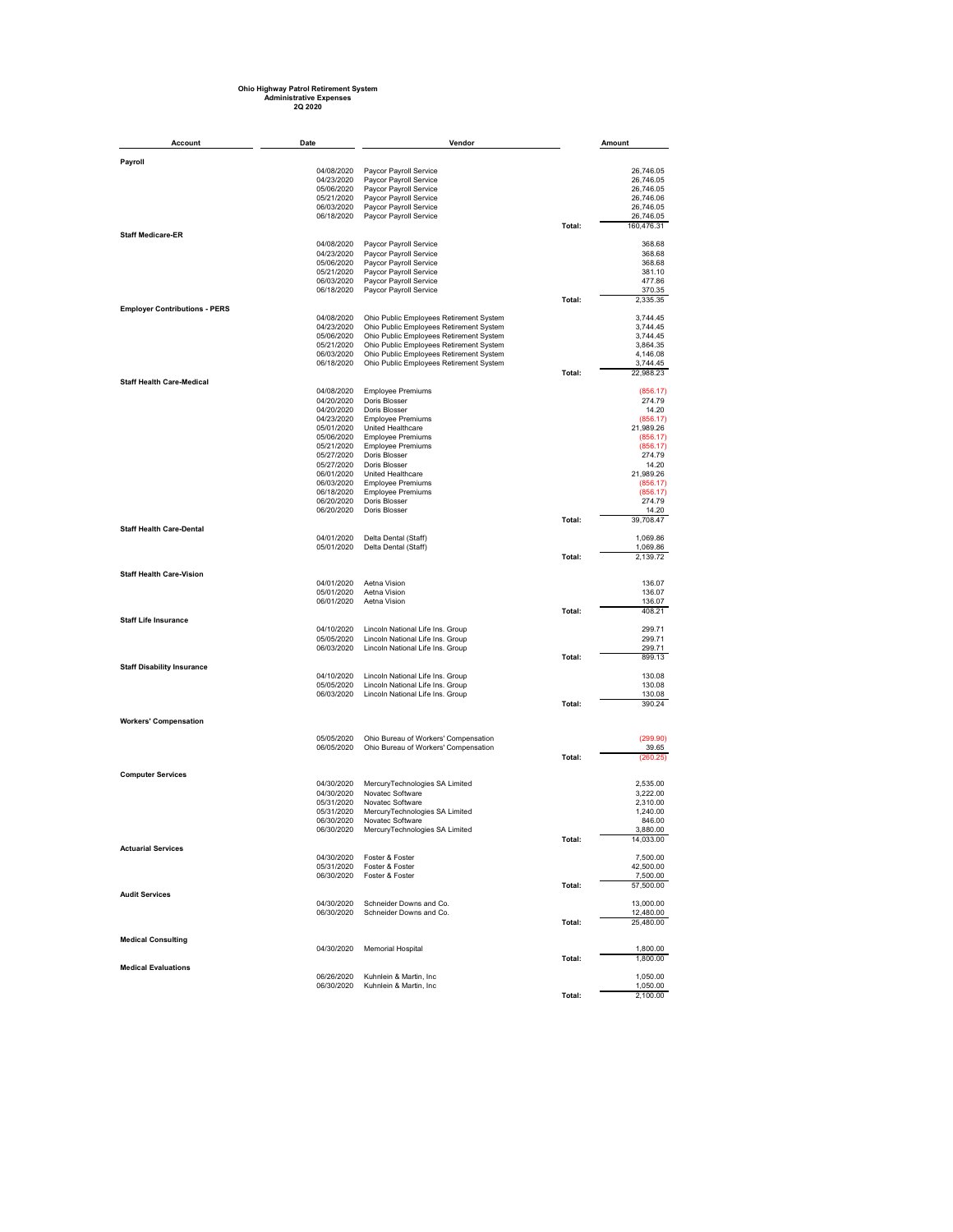## **Ohio Highway Patrol Retirement System Administrative Expenses 2Q 2020**

| Account                              | Date                     | Vendor                                                                             |        | Amount                  |
|--------------------------------------|--------------------------|------------------------------------------------------------------------------------|--------|-------------------------|
|                                      |                          |                                                                                    |        |                         |
| Payroll                              | 04/08/2020               | Paycor Payroll Service                                                             |        | 26,746.05               |
|                                      | 04/23/2020               | Paycor Payroll Service                                                             |        | 26,746.05               |
|                                      | 05/06/2020               | Paycor Payroll Service                                                             |        | 26,746.05               |
|                                      | 05/21/2020               | Paycor Payroll Service                                                             |        | 26,746.06               |
|                                      | 06/03/2020               | Paycor Payroll Service                                                             |        | 26,746.05               |
|                                      | 06/18/2020               | Paycor Payroll Service                                                             | Total: | 26,746.05<br>160,476.31 |
| <b>Staff Medicare-ER</b>             |                          |                                                                                    |        |                         |
|                                      | 04/08/2020               | Paycor Payroll Service                                                             |        | 368.68                  |
|                                      | 04/23/2020               | Paycor Payroll Service                                                             |        | 368.68                  |
|                                      | 05/06/2020<br>05/21/2020 | Paycor Payroll Service<br>Paycor Payroll Service                                   |        | 368.68<br>381.10        |
|                                      | 06/03/2020               | Paycor Payroll Service                                                             |        | 477.86                  |
|                                      | 06/18/2020               | Paycor Payroll Service                                                             |        | 370.35                  |
|                                      |                          |                                                                                    | Total: | 2,335.35                |
| <b>Employer Contributions - PERS</b> |                          |                                                                                    |        |                         |
|                                      | 04/08/2020<br>04/23/2020 | Ohio Public Employees Retirement System<br>Ohio Public Employees Retirement System |        | 3,744.45<br>3,744.45    |
|                                      | 05/06/2020               | Ohio Public Employees Retirement System                                            |        | 3,744.45                |
|                                      | 05/21/2020               | Ohio Public Employees Retirement System                                            |        | 3,864.35                |
|                                      | 06/03/2020               | Ohio Public Employees Retirement System                                            |        | 4,146.08                |
|                                      | 06/18/2020               | Ohio Public Employees Retirement System                                            |        | 3,744.45                |
|                                      |                          |                                                                                    | Total: | 22,988.23               |
| <b>Staff Health Care-Medical</b>     | 04/08/2020               | <b>Employee Premiums</b>                                                           |        | (856.17)                |
|                                      | 04/20/2020               | Doris Blosser                                                                      |        | 274.79                  |
|                                      | 04/20/2020               | Doris Blosser                                                                      |        | 14.20                   |
|                                      | 04/23/2020               | <b>Employee Premiums</b>                                                           |        | (856.17)                |
|                                      | 05/01/2020               | United Healthcare                                                                  |        | 21,989.26               |
|                                      | 05/06/2020               | <b>Employee Premiums</b>                                                           |        | (856.17)                |
|                                      | 05/21/2020               | <b>Employee Premiums</b><br>Doris Blosser                                          |        | (856.17)                |
|                                      | 05/27/2020<br>05/27/2020 | Doris Blosser                                                                      |        | 274.79<br>14.20         |
|                                      | 06/01/2020               | United Healthcare                                                                  |        | 21,989.26               |
|                                      | 06/03/2020               | Employee Premiums                                                                  |        | (856.17)                |
|                                      | 06/18/2020               | <b>Employee Premiums</b>                                                           |        | (856.17)                |
|                                      | 06/20/2020               | Doris Blosser                                                                      |        | 274.79                  |
|                                      | 06/20/2020               | Doris Blosser                                                                      |        | 14.20                   |
| <b>Staff Health Care-Dental</b>      |                          |                                                                                    | Total: | 39,708.47               |
|                                      | 04/01/2020               | Delta Dental (Staff)                                                               |        | 1,069.86                |
|                                      | 05/01/2020               | Delta Dental (Staff)                                                               |        | 1,069.86                |
|                                      |                          |                                                                                    | Total: | 2,139.72                |
| <b>Staff Health Care-Vision</b>      |                          |                                                                                    |        |                         |
|                                      | 04/01/2020               | Aetna Vision                                                                       |        | 136.07                  |
|                                      | 05/01/2020               | Aetna Vision                                                                       |        | 136.07                  |
|                                      | 06/01/2020               | Aetna Vision                                                                       |        | 136.07                  |
|                                      |                          |                                                                                    | Total: | 408.21                  |
| <b>Staff Life Insurance</b>          |                          |                                                                                    |        |                         |
|                                      | 04/10/2020               | Lincoln National Life Ins. Group                                                   |        | 299.71                  |
|                                      | 05/05/2020<br>06/03/2020 | Lincoln National Life Ins. Group<br>Lincoln National Life Ins. Group               |        | 299.71<br>299.71        |
|                                      |                          |                                                                                    | Total: | 899.13                  |
| <b>Staff Disability Insurance</b>    |                          |                                                                                    |        |                         |
|                                      | 04/10/2020               | Lincoln National Life Ins. Group                                                   |        | 130.08                  |
|                                      | 05/05/2020               | Lincoln National Life Ins. Group                                                   |        | 130.08                  |
|                                      | 06/03/2020               | Lincoln National Life Ins. Group                                                   |        | 130.08                  |
|                                      |                          |                                                                                    | Total: | 390.24                  |
| <b>Workers' Compensation</b>         |                          |                                                                                    |        |                         |
|                                      |                          |                                                                                    |        |                         |
|                                      | 05/05/2020               | Ohio Bureau of Workers' Compensation<br>Ohio Bureau of Workers' Compensation       |        | (299.90)                |
|                                      | 06/05/2020               |                                                                                    | Total: | 39.65<br>(260.25)       |
|                                      |                          |                                                                                    |        |                         |
| <b>Computer Services</b>             |                          |                                                                                    |        |                         |
|                                      | 04/30/2020               | MercuryTechnologies SA Limited                                                     |        | 2,535.00                |
|                                      | 04/30/2020               | Novatec Software                                                                   |        | 3,222.00                |
|                                      | 05/31/2020               | Novatec Software                                                                   |        | 2,310.00                |
|                                      | 05/31/2020<br>06/30/2020 | MercuryTechnologies SA Limited<br>Novatec Software                                 |        | 1,240.00<br>846.00      |
|                                      | 06/30/2020               | MercuryTechnologies SA Limited                                                     |        | 3,880.00                |
|                                      |                          |                                                                                    | Total: | 14,033.00               |
| <b>Actuarial Services</b>            |                          |                                                                                    |        |                         |
|                                      | 04/30/2020               | Foster & Foster                                                                    |        | 7,500.00                |
|                                      | 05/31/2020               | Foster & Foster                                                                    |        | 42,500.00               |
|                                      | 06/30/2020               | Foster & Foster                                                                    |        | 7,500.00                |
| <b>Audit Services</b>                |                          |                                                                                    | Total: | 57,500.00               |
|                                      | 04/30/2020               | Schneider Downs and Co.                                                            |        | 13,000.00               |
|                                      | 06/30/2020               | Schneider Downs and Co.                                                            |        | 12,480.00               |
|                                      |                          |                                                                                    | Total: | 25,480.00               |
|                                      |                          |                                                                                    |        |                         |
| <b>Medical Consulting</b>            | 04/30/2020               | Memorial Hospital                                                                  |        | 1,800.00                |
|                                      |                          |                                                                                    | Total: | 1,800.00                |
| <b>Medical Evaluations</b>           |                          |                                                                                    |        |                         |
|                                      | 06/26/2020               | Kuhnlein & Martin, Inc                                                             |        | 1,050.00                |
|                                      | 06/30/2020               | Kuhnlein & Martin, Inc                                                             |        | 1,050.00                |
|                                      |                          |                                                                                    | Total: | 2,100.00                |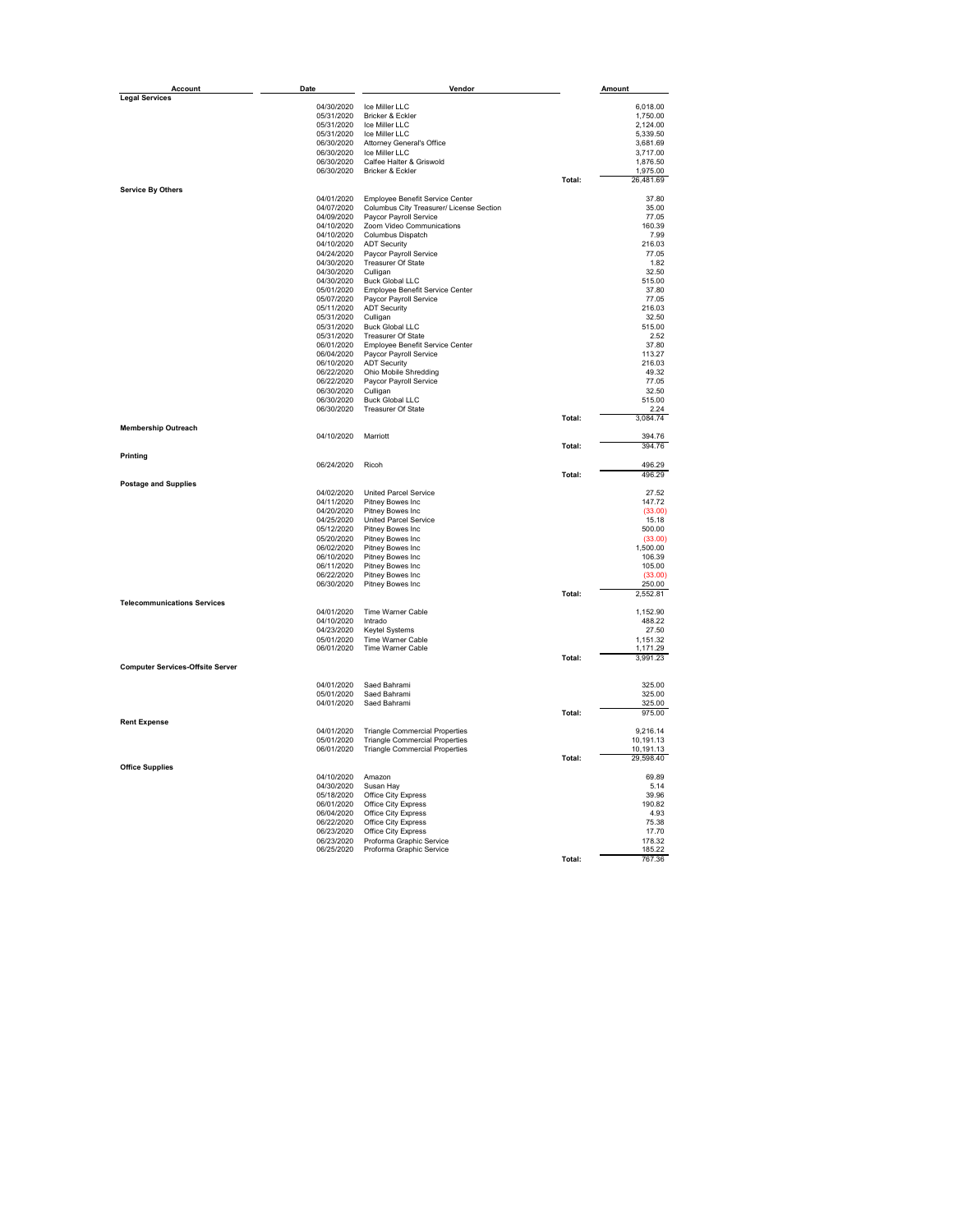| Account                                 | Date                     | Vendor                                                    |        | Amount                |
|-----------------------------------------|--------------------------|-----------------------------------------------------------|--------|-----------------------|
| <b>Legal Services</b>                   |                          |                                                           |        |                       |
|                                         | 04/30/2020               | Ice Miller LLC                                            |        | 6,018.00              |
|                                         | 05/31/2020<br>05/31/2020 | Bricker & Eckler<br>Ice Miller LLC                        |        | 1,750.00<br>2,124.00  |
|                                         | 05/31/2020               | Ice Miller LLC                                            |        | 5,339.50              |
|                                         | 06/30/2020               | Attorney General's Office                                 |        | 3,681.69              |
|                                         | 06/30/2020               | Ice Miller LLC                                            |        | 3,717.00              |
|                                         | 06/30/2020               | Calfee Halter & Griswold                                  |        | 1,876.50              |
|                                         | 06/30/2020               | Bricker & Eckler                                          | Total: | 1,975.00<br>26,481.69 |
| <b>Service By Others</b>                |                          |                                                           |        |                       |
|                                         | 04/01/2020               | Employee Benefit Service Center                           |        | 37.80                 |
|                                         | 04/07/2020               | Columbus City Treasurer/ License Section                  |        | 35.00                 |
|                                         | 04/09/2020               | Paycor Payroll Service                                    |        | 77.05                 |
|                                         | 04/10/2020<br>04/10/2020 | Zoom Video Communications<br>Columbus Dispatch            |        | 160.39<br>7.99        |
|                                         | 04/10/2020               | <b>ADT Security</b>                                       |        | 216.03                |
|                                         | 04/24/2020               | Paycor Payroll Service                                    |        | 77.05                 |
|                                         | 04/30/2020               | Treasurer Of State                                        |        | 1.82                  |
|                                         | 04/30/2020               | Culligan                                                  |        | 32.50                 |
|                                         | 04/30/2020               | <b>Buck Global LLC</b>                                    |        | 515.00<br>37.80       |
|                                         | 05/01/2020<br>05/07/2020 | Employee Benefit Service Center<br>Paycor Payroll Service |        | 77.05                 |
|                                         | 05/11/2020               | <b>ADT Security</b>                                       |        | 216.03                |
|                                         | 05/31/2020               | Culligan                                                  |        | 32.50                 |
|                                         | 05/31/2020               | <b>Buck Global LLC</b>                                    |        | 515.00                |
|                                         | 05/31/2020               | Treasurer Of State                                        |        | 2.52                  |
|                                         | 06/01/2020<br>06/04/2020 | Employee Benefit Service Center<br>Paycor Payroll Service |        | 37.80<br>113.27       |
|                                         | 06/10/2020               | <b>ADT Security</b>                                       |        | 216.03                |
|                                         | 06/22/2020               | Ohio Mobile Shredding                                     |        | 49.32                 |
|                                         | 06/22/2020               | Paycor Payroll Service                                    |        | 77.05                 |
|                                         | 06/30/2020               | Culligan                                                  |        | 32.50                 |
|                                         | 06/30/2020<br>06/30/2020 | <b>Buck Global LLC</b><br>Treasurer Of State              |        | 515.00<br>2.24        |
|                                         |                          |                                                           | Total: | 3,084.74              |
| <b>Membership Outreach</b>              |                          |                                                           |        |                       |
|                                         | 04/10/2020               | Marriott                                                  | Total: | 394.76<br>394.76      |
| Printing                                |                          |                                                           |        |                       |
|                                         | 06/24/2020               | Ricoh                                                     |        | 496.29                |
|                                         |                          |                                                           | Total: | 496.29                |
| <b>Postage and Supplies</b>             |                          |                                                           |        |                       |
|                                         | 04/02/2020<br>04/11/2020 | <b>United Parcel Service</b><br>Pitney Bowes Inc          |        | 27.52<br>147.72       |
|                                         | 04/20/2020               | Pitney Bowes Inc                                          |        | (33.00)               |
|                                         | 04/25/2020               | <b>United Parcel Service</b>                              |        | 15.18                 |
|                                         | 05/12/2020               | Pitney Bowes Inc                                          |        | 500.00                |
|                                         | 05/20/2020               | Pitney Bowes Inc                                          |        | (33.00)               |
|                                         | 06/02/2020<br>06/10/2020 | Pitney Bowes Inc<br>Pitney Bowes Inc                      |        | 1,500.00<br>106.39    |
|                                         | 06/11/2020               | Pitney Bowes Inc                                          |        | 105.00                |
|                                         | 06/22/2020               | Pitney Bowes Inc                                          |        | (33.00)               |
|                                         | 06/30/2020               | Pitney Bowes Inc                                          |        | 250.00                |
| <b>Telecommunications Services</b>      |                          |                                                           | Total: | 2,552.81              |
|                                         | 04/01/2020               | Time Warner Cable                                         |        | 1,152.90              |
|                                         | 04/10/2020               | Intrado                                                   |        | 488.22                |
|                                         | 04/23/2020               | Keytel Systems                                            |        | 27.50                 |
|                                         | 05/01/2020<br>06/01/2020 | Time Warner Cable<br>Time Warner Cable                    |        | 1,151.32<br>1.171.29  |
|                                         |                          |                                                           | Total: | 3,991.23              |
| <b>Computer Services-Offsite Server</b> |                          |                                                           |        |                       |
|                                         | 04/01/2020               | Saed Bahrami                                              |        | 325.00                |
|                                         | 05/01/2020               | Saed Bahrami                                              |        | 325.00                |
|                                         | 04/01/2020               | Saed Bahrami                                              |        | 325.00                |
|                                         |                          |                                                           | Total: | 975.00                |
| <b>Rent Expense</b>                     | 04/01/2020               | <b>Triangle Commercial Properties</b>                     |        | 9,216.14              |
|                                         | 05/01/2020               | <b>Triangle Commercial Properties</b>                     |        | 10,191.13             |
|                                         | 06/01/2020               | <b>Triangle Commercial Properties</b>                     |        | 10,191.13             |
|                                         |                          |                                                           | Total: | 29,598.40             |
| <b>Office Supplies</b>                  | 04/10/2020               | Amazon                                                    |        | 69.89                 |
|                                         | 04/30/2020               | Susan Hay                                                 |        | 5.14                  |
|                                         | 05/18/2020               | Office City Express                                       |        | 39.96                 |
|                                         | 06/01/2020               | Office City Express                                       |        | 190.82                |
|                                         | 06/04/2020               | Office City Express                                       |        | 4.93                  |
|                                         | 06/22/2020<br>06/23/2020 | Office City Express<br>Office City Express                |        | 75.38<br>17.70        |
|                                         | 06/23/2020               | Proforma Graphic Service                                  |        | 178.32                |
|                                         | 06/25/2020               | Proforma Graphic Service                                  |        | 185.22                |
|                                         |                          |                                                           | Total: | 767.36                |